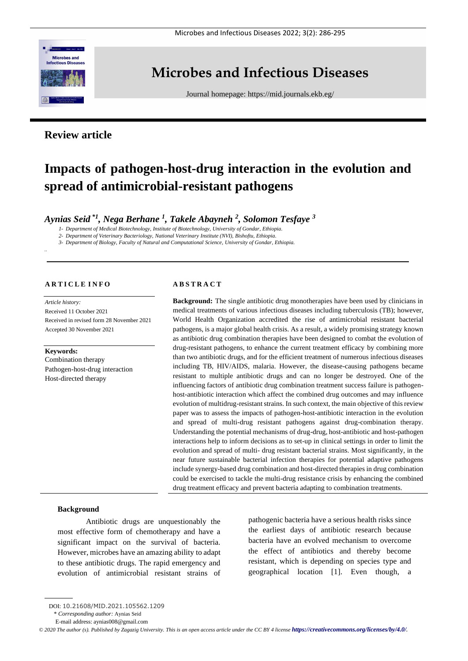

# **Microbes and Infectious Diseases**

Journal homepage:<https://mid.journals.ekb.eg/>

# **Review article**

# **Impacts of pathogen-host-drug interaction in the evolution and spread of antimicrobial-resistant pathogens**

*Aynias Seid \*1 , Nega Berhane <sup>1</sup> , Takele Abayneh <sup>2</sup> , Solomon Tesfaye <sup>3</sup>*

*1- Department of Medical Biotechnology, Institute of Biotechnology, University of Gondar, Ethiopia.*

*2- Department of Veterinary Bacteriology, National Veterinary Institute (NVI), Bishoftu, Ethiopia.*

*3- Department of Biology, Faculty of Natural and Computational Science, University of Gondar, Ethiopia.*

# **A R T I C L E I N F O**

*Article history:*  Received 11 October 2021 Received in revised form 28 November 2021 Accepted 30 November 2021

#### **Keywords:**

*..*

Combination therapy Pathogen-host-drug interaction Host-directed therapy

#### **A B S T R A C T**

**Background:** The single antibiotic drug monotherapies have been used by clinicians in medical treatments of various infectious diseases including tuberculosis (TB); however, World Health Organization accredited the rise of antimicrobial resistant bacterial pathogens, is a major global health crisis. As a result, a widely promising strategy known as antibiotic drug combination therapies have been designed to combat the evolution of drug-resistant pathogens, to enhance the current treatment efficacy by combining more than two antibiotic drugs, and for the efficient treatment of numerous infectious diseases including TB, HIV/AIDS, malaria. However, the disease-causing pathogens became resistant to multiple antibiotic drugs and can no longer be destroyed. One of the influencing factors of antibiotic drug combination treatment success failure is pathogenhost-antibiotic interaction which affect the combined drug outcomes and may influence evolution of multidrug-resistant strains. In such context, the main objective of this review paper was to assess the impacts of pathogen-host-antibiotic interaction in the evolution and spread of multi-drug resistant pathogens against drug-combination therapy. Understanding the potential mechanisms of drug-drug, host-antibiotic and host-pathogen interactions help to inform decisions as to set-up in clinical settings in order to limit the evolution and spread of multi- drug resistant bacterial strains. Most significantly, in the near future sustainable bacterial infection therapies for potential adaptive pathogens include synergy-based drug combination and host-directed therapies in drug combination could be exercised to tackle the multi-drug resistance crisis by enhancing the combined drug treatment efficacy and prevent bacteria adapting to combination treatments.

### **Background**

Antibiotic drugs are unquestionably the most effective form of chemotherapy and have a significant impact on the survival of bacteria. However, microbes have an amazing ability to adapt to these antibiotic drugs. The rapid emergency and evolution of antimicrobial resistant strains of pathogenic bacteria have a serious health risks since the earliest days of antibiotic research because bacteria have an evolved mechanism to overcome the effect of antibiotics and thereby become resistant, which is depending on species type and geographical location [1]. Even though, a

*© 2020 The author (s). Published by Zagazig University. This is an open access article under the CC BY 4 license <https://creativecommons.org/licenses/by/4.0/>.*

DOI: 10.21608/MID.2021.105562.1209

<sup>\*</sup> *Corresponding author:* Aynias Seid

E-mail address: aynias008@gmail.com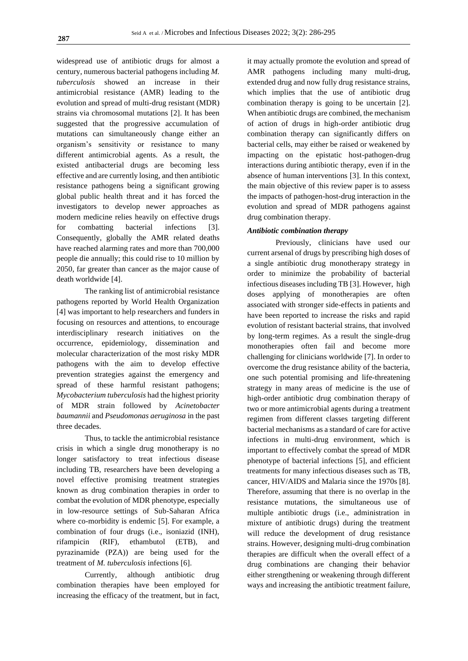widespread use of antibiotic drugs for almost a century, numerous bacterial pathogens including *M. tuberculosis* showed an increase in their antimicrobial resistance (AMR) leading to the evolution and spread of multi-drug resistant (MDR) strains via chromosomal mutations [2]. It has been suggested that the progressive accumulation of mutations can simultaneously change either an organism's sensitivity or resistance to many different antimicrobial agents. As a result, the existed antibacterial drugs are becoming less effective and are currently losing, and then antibiotic resistance pathogens being a significant growing global public health threat and it has forced the investigators to develop newer approaches as modern medicine relies heavily on effective drugs for combatting bacterial infections [3]. Consequently, globally the AMR related deaths have reached alarming rates and more than 700,000 people die annually; this could rise to 10 million by 2050, far greater than cancer as the major cause of death worldwide [4].

The ranking list of antimicrobial resistance pathogens reported by World Health Organization [4] was important to help researchers and funders in focusing on resources and attentions, to encourage interdisciplinary research initiatives on the occurrence, epidemiology, dissemination and molecular characterization of the most risky MDR pathogens with the aim to develop effective prevention strategies against the emergency and spread of these harmful resistant pathogens; *Mycobacterium tuberculosis* had the highest priority of MDR strain followed by *Acinetobacter baumannii* and *Pseudomonas aeruginosa* in the past three decades.

Thus, to tackle the antimicrobial resistance crisis in which a single drug monotherapy is no longer satisfactory to treat infectious disease including TB, researchers have been developing a novel effective promising treatment strategies known as drug combination therapies in order to combat the evolution of MDR phenotype, especially in low-resource settings of Sub-Saharan Africa where co-morbidity is endemic [5]. For example, a combination of four drugs (i.e., isoniazid (INH), rifampicin (RIF), ethambutol (ETB), and pyrazinamide (PZA)) are being used for the treatment of *M. tuberculosis* infections [6].

Currently, although antibiotic drug combination therapies have been employed for increasing the efficacy of the treatment, but in fact,

it may actually promote the evolution and spread of AMR pathogens including many multi-drug, extended drug and now fully drug resistance strains, which implies that the use of antibiotic drug combination therapy is going to be uncertain [2]. When antibiotic drugs are combined, the mechanism of action of drugs in high-order antibiotic drug combination therapy can significantly differs on bacterial cells, may either be raised or weakened by impacting on the epistatic host-pathogen-drug interactions during antibiotic therapy, even if in the absence of human interventions [3]. In this context, the main objective of this review paper is to assess the impacts of pathogen-host-drug interaction in the evolution and spread of MDR pathogens against drug combination therapy.

### *Antibiotic combination therapy*

Previously, clinicians have used our current arsenal of drugs by prescribing high doses of a single antibiotic drug monotherapy strategy in order to minimize the probability of bacterial infectious diseases including TB [3]. However, high doses applying of monotherapies are often associated with stronger side-effects in patients and have been reported to increase the risks and rapid evolution of resistant bacterial strains, that involved by long-term regimes. As a result the single-drug monotherapies often fail and become more challenging for clinicians worldwide [7]. In order to overcome the drug resistance ability of the bacteria, one such potential promising and life-threatening strategy in many areas of medicine is the use of high-order antibiotic drug combination therapy of two or more antimicrobial agents during a treatment regimen from different classes targeting different bacterial mechanisms as a standard of care for active infections in multi-drug environment, which is important to effectively combat the spread of MDR phenotype of bacterial infections [5], and efficient treatments for many infectious diseases such as TB, cancer, HIV/AIDS and Malaria since the 1970s [8]. Therefore, assuming that there is no overlap in the resistance mutations, the simultaneous use of multiple antibiotic drugs (i.e., administration in mixture of antibiotic drugs) during the treatment will reduce the development of drug resistance strains. However, designing multi-drug combination therapies are difficult when the overall effect of a drug combinations are changing their behavior either strengthening or weakening through different ways and increasing the antibiotic treatment failure,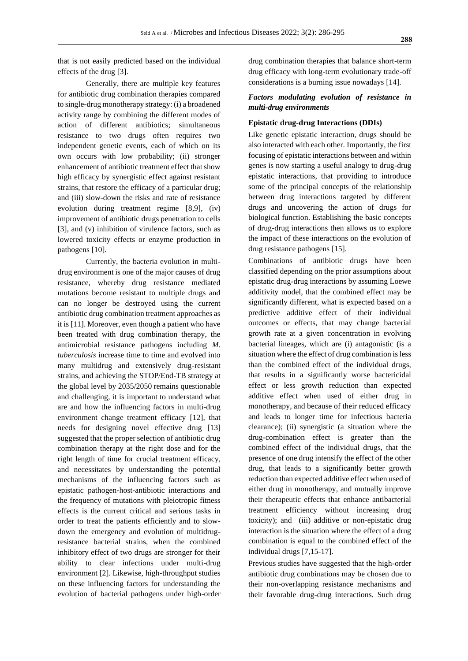that is not easily predicted based on the individual effects of the drug [3].

Generally, there are multiple key features for antibiotic drug combination therapies compared to single-drug monotherapy strategy: (i) a broadened activity range by combining the different modes of action of different antibiotics; simultaneous resistance to two drugs often requires two independent genetic events, each of which on its own occurs with low probability; (ii) stronger enhancement of antibiotic treatment effect that show high efficacy by synergistic effect against resistant strains, that restore the efficacy of a particular drug; and (iii) slow-down the risks and rate of resistance evolution during treatment regime [8,9], (iv) improvement of antibiotic drugs penetration to cells [3], and (v) inhibition of virulence factors, such as lowered toxicity effects or enzyme production in pathogens [10].

Currently, the bacteria evolution in multidrug environment is one of the major causes of drug resistance, whereby drug resistance mediated mutations become resistant to multiple drugs and can no longer be destroyed using the current antibiotic drug combination treatment approaches as it is [11]. Moreover, even though a patient who have been treated with drug combination therapy, the antimicrobial resistance pathogens including *M. tuberculosis* increase time to time and evolved into many multidrug and extensively drug-resistant strains, and achieving the STOP/End-TB strategy at the global level by 2035/2050 remains questionable and challenging, it is important to understand what are and how the influencing factors in multi-drug environment change treatment efficacy [12], that needs for designing novel effective drug [13] suggested that the proper selection of antibiotic drug combination therapy at the right dose and for the right length of time for crucial treatment efficacy, and necessitates by understanding the potential mechanisms of the influencing factors such as epistatic pathogen-host-antibiotic interactions and the frequency of mutations with pleiotropic fitness effects is the current critical and serious tasks in order to treat the patients efficiently and to slowdown the emergency and evolution of multidrugresistance bacterial strains, when the combined inhibitory effect of two drugs are stronger for their ability to clear infections under multi-drug environment [2]. Likewise, high-throughput studies on these influencing factors for understanding the evolution of bacterial pathogens under high-order drug combination therapies that balance short-term drug efficacy with long-term evolutionary trade-off considerations is a burning issue nowadays [14].

# *Factors modulating evolution of resistance in multi-drug environments*

#### **Epistatic drug-drug Interactions (DDIs)**

Like genetic epistatic interaction, drugs should be also interacted with each other. Importantly, the first focusing of epistatic interactions between and within genes is now starting a useful analogy to drug-drug epistatic interactions, that providing to introduce some of the principal concepts of the relationship between drug interactions targeted by different drugs and uncovering the action of drugs for biological function. Establishing the basic concepts of drug-drug interactions then allows us to explore the impact of these interactions on the evolution of drug resistance pathogens [15].

Combinations of antibiotic drugs have been classified depending on the prior assumptions about epistatic drug-drug interactions by assuming Loewe additivity model, that the combined effect may be significantly different, what is expected based on a predictive additive effect of their individual outcomes or effects, that may change bacterial growth rate at a given concentration in evolving bacterial lineages, which are (i) antagonistic (is a situation where the effect of drug combination is less than the combined effect of the individual drugs, that results in a significantly worse bactericidal effect or less growth reduction than expected additive effect when used of either drug in monotherapy, and because of their reduced efficacy and leads to longer time for infectious bacteria clearance); (ii) synergistic (a situation where the drug-combination effect is greater than the combined effect of the individual drugs, that the presence of one drug intensify the effect of the other drug, that leads to a significantly better growth reduction than expected additive effect when used of either drug in monotherapy, and mutually improve their therapeutic effects that enhance antibacterial treatment efficiency without increasing drug toxicity); and (iii) additive or non-epistatic drug interaction is the situation where the effect of a drug combination is equal to the combined effect of the individual drugs [7,15-17].

Previous studies have suggested that the high-order antibiotic drug combinations may be chosen due to their non-overlapping resistance mechanisms and their favorable drug-drug interactions. Such drug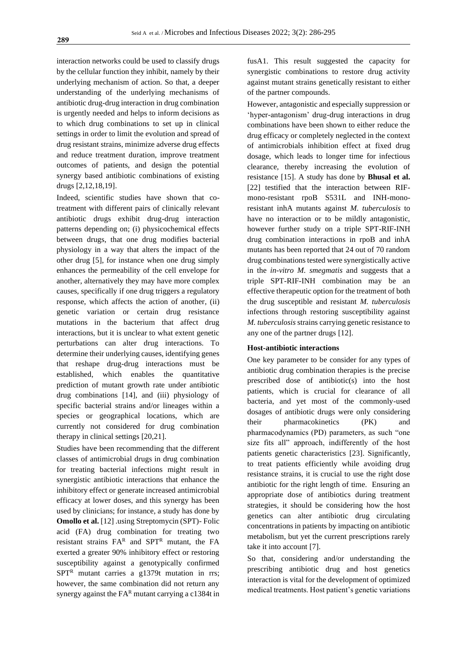interaction networks could be used to classify drugs by the cellular function they inhibit, namely by their underlying mechanism of action. So that, a deeper understanding of the underlying mechanisms of antibiotic drug-drug interaction in drug combination is urgently needed and helps to inform decisions as to which drug combinations to set up in clinical settings in order to limit the evolution and spread of drug resistant strains, minimize adverse drug effects and reduce treatment duration, improve treatment outcomes of patients, and design the potential synergy based antibiotic combinations of existing drugs [2,12,18,19].

Indeed, scientific studies have shown that cotreatment with different pairs of clinically relevant antibiotic drugs exhibit drug-drug interaction patterns depending on; (i) physicochemical effects between drugs, that one drug modifies bacterial physiology in a way that alters the impact of the other drug [5], for instance when one drug simply enhances the permeability of the cell envelope for another, alternatively they may have more complex causes, specifically if one drug triggers a regulatory response, which affects the action of another, (ii) genetic variation or certain drug resistance mutations in the bacterium that affect drug interactions, but it is unclear to what extent genetic perturbations can alter drug interactions. To determine their underlying causes, identifying genes that reshape drug-drug interactions must be established, which enables the quantitative prediction of mutant growth rate under antibiotic drug combinations [14], and (iii) physiology of specific bacterial strains and/or lineages within a species or geographical locations, which are currently not considered for drug combination therapy in clinical settings [20,21].

Studies have been recommending that the different classes of antimicrobial drugs in drug combination for treating bacterial infections might result in synergistic antibiotic interactions that enhance the inhibitory effect or generate increased antimicrobial efficacy at lower doses, and this synergy has been used by clinicians; for instance, a study has done by **Omollo et al.** [12] .using Streptomycin (SPT)- Folic acid (FA) drug combination for treating two resistant strains  $FA^R$  and  $SPT^R$  mutant, the FA exerted a greater 90% inhibitory effect or restoring susceptibility against a genotypically confirmed  $SPT<sup>R</sup>$  mutant carries a g1379t mutation in rrs; however, the same combination did not return any synergy against the  $FA<sup>R</sup>$  mutant carrying a c1384t in

fusA1. This result suggested the capacity for synergistic combinations to restore drug activity against mutant strains genetically resistant to either of the partner compounds.

However, antagonistic and especially suppression or 'hyper-antagonism' drug-drug interactions in drug combinations have been shown to either reduce the drug efficacy or completely neglected in the context of antimicrobials inhibition effect at fixed drug dosage, which leads to longer time for infectious clearance, thereby increasing the evolution of resistance [15]. A study has done by **Bhusal et al.** [22] testified that the interaction between RIFmono-resistant rpoB S531L and INH-monoresistant inhA mutants against *M. tuberculosis* to have no interaction or to be mildly antagonistic, however further study on a triple SPT-RIF-INH drug combination interactions in rpoB and inhA mutants has been reported that 24 out of 70 random drug combinations tested were synergistically active in the *in-vitro M. smegmatis* and suggests that a triple SPT-RIF-INH combination may be an effective therapeutic option for the treatment of both the drug susceptible and resistant *M. tuberculosis* infections through restoring susceptibility against *M. tuberculosis* strains carrying genetic resistance to any one of the partner drugs [12].

# **Host-antibiotic interactions**

One key parameter to be consider for any types of antibiotic drug combination therapies is the precise prescribed dose of antibiotic(s) into the host patients, which is crucial for clearance of all bacteria, and yet most of the commonly-used dosages of antibiotic drugs were only considering their pharmacokinetics (PK) and pharmacodynamics (PD) parameters, as such "one size fits all" approach, indifferently of the host patients genetic characteristics [23]. Significantly, to treat patients efficiently while avoiding drug resistance strains, it is crucial to use the right dose antibiotic for the right length of time. Ensuring an appropriate dose of antibiotics during treatment strategies, it should be considering how the host genetics can alter antibiotic drug circulating concentrations in patients by impacting on antibiotic metabolism, but yet the current prescriptions rarely take it into account [7].

So that, considering and/or understanding the prescribing antibiotic drug and host genetics interaction is vital for the development of optimized medical treatments. Host patient's genetic variations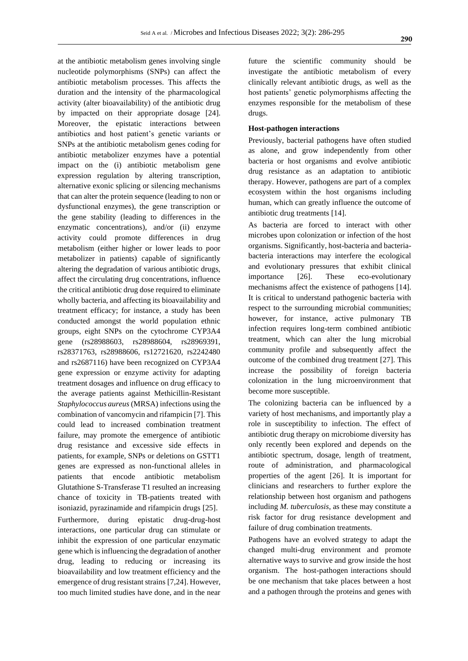at the antibiotic metabolism genes involving single nucleotide polymorphisms (SNPs) can affect the antibiotic metabolism processes. This affects the duration and the intensity of the pharmacological activity (alter bioavailability) of the antibiotic drug by impacted on their appropriate dosage [24]. Moreover, the epistatic interactions between antibiotics and host patient's genetic variants or SNPs at the antibiotic metabolism genes coding for antibiotic metabolizer enzymes have a potential impact on the (i) antibiotic metabolism gene expression regulation by altering transcription, alternative exonic splicing or silencing mechanisms that can alter the protein sequence (leading to non or dysfunctional enzymes), the gene transcription or the gene stability (leading to differences in the enzymatic concentrations), and/or (ii) enzyme activity could promote differences in drug metabolism (either higher or lower leads to poor metabolizer in patients) capable of significantly altering the degradation of various antibiotic drugs, affect the circulating drug concentrations, influence the critical antibiotic drug dose required to eliminate wholly bacteria, and affecting its bioavailability and treatment efficacy; for instance, a study has been conducted amongst the world population ethnic groups, eight SNPs on the cytochrome CYP3A4 gene (rs28988603, rs28988604, rs28969391, rs28371763, rs28988606, rs12721620, rs2242480 and rs2687116) have been recognized on CYP3A4 gene expression or enzyme activity for adapting treatment dosages and influence on drug efficacy to the average patients against Methicillin-Resistant *Staphylococcus aureus* (MRSA) infections using the combination of vancomycin and rifampicin [7]. This could lead to increased combination treatment failure, may promote the emergence of antibiotic drug resistance and excessive side effects in patients, for example, SNPs or deletions on GSTT1 genes are expressed as non-functional alleles in patients that encode antibiotic metabolism Glutathione S-Transferase T1 resulted an increasing chance of toxicity in TB-patients treated with isoniazid, pyrazinamide and rifampicin drugs [25]. Furthermore, during epistatic drug-drug-host interactions, one particular drug can stimulate or inhibit the expression of one particular enzymatic gene which is influencing the degradation of another drug, leading to reducing or increasing its bioavailability and low treatment efficiency and the emergence of drug resistant strains [7,24]. However, too much limited studies have done, and in the near

future the scientific community should be investigate the antibiotic metabolism of every clinically relevant antibiotic drugs, as well as the host patients' genetic polymorphisms affecting the enzymes responsible for the metabolism of these drugs.

# **Host-pathogen interactions**

Previously, bacterial pathogens have often studied as alone, and grow independently from other bacteria or host organisms and evolve antibiotic drug resistance as an adaptation to antibiotic therapy. However, pathogens are part of a complex ecosystem within the host organisms including human, which can greatly influence the outcome of antibiotic drug treatments [14].

As bacteria are forced to interact with other microbes upon colonization or infection of the host organisms. Significantly, host-bacteria and bacteriabacteria interactions may interfere the ecological and evolutionary pressures that exhibit clinical importance [26]. These eco-evolutionary mechanisms affect the existence of pathogens [14]. It is critical to understand pathogenic bacteria with respect to the surrounding microbial communities; however, for instance, active pulmonary TB infection requires long-term combined antibiotic treatment, which can alter the lung microbial community profile and subsequently affect the outcome of the combined drug treatment [27]. This increase the possibility of foreign bacteria colonization in the lung microenvironment that become more susceptible.

The colonizing bacteria can be influenced by a variety of host mechanisms, and importantly play a role in susceptibility to infection. The effect of antibiotic drug therapy on microbiome diversity has only recently been explored and depends on the antibiotic spectrum, dosage, length of treatment, route of administration, and pharmacological properties of the agent [26]. It is important for clinicians and researchers to further explore the relationship between host organism and pathogens including *M. tuberculosis*, as these may constitute a risk factor for drug resistance development and failure of drug combination treatments.

Pathogens have an evolved strategy to adapt the changed multi-drug environment and promote alternative ways to survive and grow inside the host organism. The host-pathogen interactions should be one mechanism that take places between a host and a pathogen through the proteins and genes with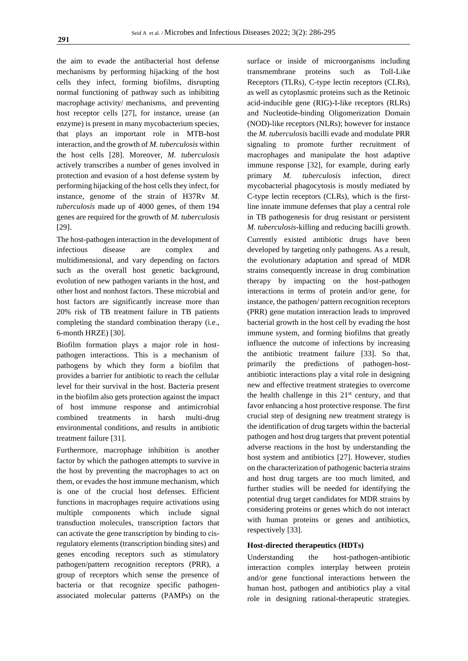the aim to evade the antibacterial host defense mechanisms by performing hijacking of the host cells they infect, forming biofilms, disrupting normal functioning of pathway such as inhibiting macrophage activity/ mechanisms, and preventing host receptor cells [27], for instance, urease (an enzyme) is present in many mycobacterium species, that plays an important role in MTB-host interaction, and the growth of *M. tuberculosis* within the host cells [28]. Moreover, *M. tuberculosis* actively transcribes a number of genes involved in protection and evasion of a host defense system by performing hijacking of the host cells they infect, for instance, genome of the strain of H37Rv *M. tuberculosis* made up of 4000 genes, of them 194 genes are required for the growth of *M. tuberculosis* [29].

The host-pathogen interaction in the development of infectious disease are complex and multidimensional, and vary depending on factors such as the overall host genetic background, evolution of new pathogen variants in the host, and other host and nonhost factors. These microbial and host factors are significantly increase more than 20% risk of TB treatment failure in TB patients completing the standard combination therapy (i.e., 6-month HRZE) [30].

Biofilm formation plays a major role in hostpathogen interactions. This is a mechanism of pathogens by which they form a biofilm that provides a barrier for antibiotic to reach the cellular level for their survival in the host. Bacteria present in the biofilm also gets protection against the impact of host immune response and antimicrobial combined treatments in harsh multi-drug environmental conditions, and results in antibiotic treatment failure [31].

Furthermore, macrophage inhibition is another factor by which the pathogen attempts to survive in the host by preventing the macrophages to act on them, or evades the host immune mechanism, which is one of the crucial host defenses. Efficient functions in macrophages require activations using multiple components which include signal transduction molecules, transcription factors that can activate the gene transcription by binding to cisregulatory elements (transcription binding sites) and genes encoding receptors such as stimulatory pathogen/pattern recognition receptors (PRR), a group of receptors which sense the presence of bacteria or that recognize specific pathogenassociated molecular patterns (PAMPs) on the

surface or inside of microorganisms including transmembrane proteins such as Toll-Like Receptors (TLRs), C-type lectin receptors (CLRs), as well as cytoplasmic proteins such as the Retinoic acid-inducible gene (RIG)-I-like receptors (RLRs) and Nucleotide-binding Oligomerization Domain (NOD)-like receptors (NLRs); however for instance the *M. tuberculosis* bacilli evade and modulate PRR signaling to promote further recruitment of macrophages and manipulate the host adaptive immune response [32], for example, during early primary *M. tuberculosis* infection, direct mycobacterial phagocytosis is mostly mediated by C-type lectin receptors (CLRs), which is the firstline innate immune defenses that play a central role in TB pathogenesis for drug resistant or persistent *M. tuberculosis*-killing and reducing bacilli growth. Currently existed antibiotic drugs have been developed by targeting only pathogens. As a result, the evolutionary adaptation and spread of MDR strains consequently increase in drug combination therapy by impacting on the host-pathogen interactions in terms of protein and/or gene, for instance, the pathogen/ pattern recognition receptors (PRR) gene mutation interaction leads to improved bacterial growth in the host cell by evading the host immune system, and forming biofilms that greatly influence the outcome of infections by increasing the antibiotic treatment failure [33]. So that, primarily the predictions of pathogen-hostantibiotic interactions play a vital role in designing new and effective treatment strategies to overcome the health challenge in this  $21<sup>st</sup>$  century, and that favor enhancing a host protective response. The first crucial step of designing new treatment strategy is the identification of drug targets within the bacterial pathogen and host drug targets that prevent potential adverse reactions in the host by understanding the host system and antibiotics [27]. However, studies on the characterization of pathogenic bacteria strains and host drug targets are too much limited, and further studies will be needed for identifying the potential drug target candidates for MDR strains by considering proteins or genes which do not interact with human proteins or genes and antibiotics, respectively [33].

# **Host-directed therapeutics (HDTs)**

Understanding the host-pathogen-antibiotic interaction complex interplay between protein and/or gene functional interactions between the human host, pathogen and antibiotics play a vital role in designing rational-therapeutic strategies.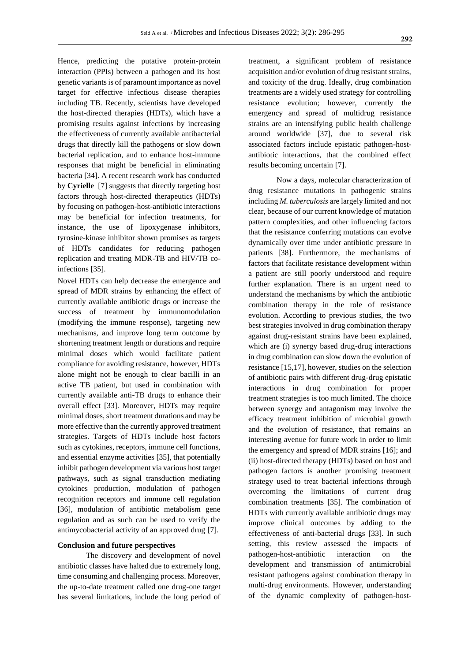Hence, predicting the putative protein-protein interaction (PPIs) between a pathogen and its host genetic variants is of paramount importance as novel target for effective infectious disease therapies including TB. Recently, scientists have developed the host-directed therapies (HDTs), which have a promising results against infections by increasing the effectiveness of currently available antibacterial drugs that directly kill the pathogens or slow down bacterial replication, and to enhance host-immune responses that might be beneficial in eliminating bacteria [34]. A recent research work has conducted by **Cyrielle** [7] suggests that directly targeting host factors through host-directed therapeutics (HDTs) by focusing on pathogen-host-antibiotic interactions may be beneficial for infection treatments, for instance, the use of lipoxygenase inhibitors, tyrosine-kinase inhibitor shown promises as targets of HDTs candidates for reducing pathogen replication and treating MDR-TB and HIV/TB coinfections [35].

Novel HDTs can help decrease the emergence and spread of MDR strains by enhancing the effect of currently available antibiotic drugs or increase the success of treatment by immunomodulation (modifying the immune response), targeting new mechanisms, and improve long term outcome by shortening treatment length or durations and require minimal doses which would facilitate patient compliance for avoiding resistance, however, HDTs alone might not be enough to clear bacilli in an active TB patient, but used in combination with currently available anti-TB drugs to enhance their overall effect [33]. Moreover, HDTs may require minimal doses, short treatment durations and may be more effective than the currently approved treatment strategies. Targets of HDTs include host factors such as cytokines, receptors, immune cell functions, and essential enzyme activities [35], that potentially inhibit pathogen development via various host target pathways, such as signal transduction mediating cytokines production, modulation of pathogen recognition receptors and immune cell regulation [36], modulation of antibiotic metabolism gene regulation and as such can be used to verify the antimycobacterial activity of an approved drug [7].

#### **Conclusion and future perspectives**

The discovery and development of novel antibiotic classes have halted due to extremely long, time consuming and challenging process. Moreover, the up-to-date treatment called one drug-one target has several limitations, include the long period of treatment, a significant problem of resistance acquisition and/or evolution of drug resistant strains, and toxicity of the drug. Ideally, drug combination treatments are a widely used strategy for controlling resistance evolution; however, currently the emergency and spread of multidrug resistance strains are an intensifying public health challenge around worldwide [37], due to several risk associated factors include epistatic pathogen-hostantibiotic interactions, that the combined effect results becoming uncertain [7].

Now a days, molecular characterization of drug resistance mutations in pathogenic strains including *M. tuberculosis* are largely limited and not clear, because of our current knowledge of mutation pattern complexities, and other influencing factors that the resistance conferring mutations can evolve dynamically over time under antibiotic pressure in patients [38]. Furthermore, the mechanisms of factors that facilitate resistance development within a patient are still poorly understood and require further explanation. There is an urgent need to understand the mechanisms by which the antibiotic combination therapy in the role of resistance evolution. According to previous studies, the two best strategies involved in drug combination therapy against drug-resistant strains have been explained, which are (i) synergy based drug-drug interactions in drug combination can slow down the evolution of resistance [15,17], however, studies on the selection of antibiotic pairs with different drug-drug epistatic interactions in drug combination for proper treatment strategies is too much limited. The choice between synergy and antagonism may involve the efficacy treatment inhibition of microbial growth and the evolution of resistance, that remains an interesting avenue for future work in order to limit the emergency and spread of MDR strains [16]; and (ii) host-directed therapy (HDTs) based on host and pathogen factors is another promising treatment strategy used to treat bacterial infections through overcoming the limitations of current drug combination treatments [35]. The combination of HDTs with currently available antibiotic drugs may improve clinical outcomes by adding to the effectiveness of anti-bacterial drugs [33]. In such setting, this review assessed the impacts of pathogen-host-antibiotic interaction on the development and transmission of antimicrobial resistant pathogens against combination therapy in multi-drug environments. However, understanding of the dynamic complexity of pathogen-host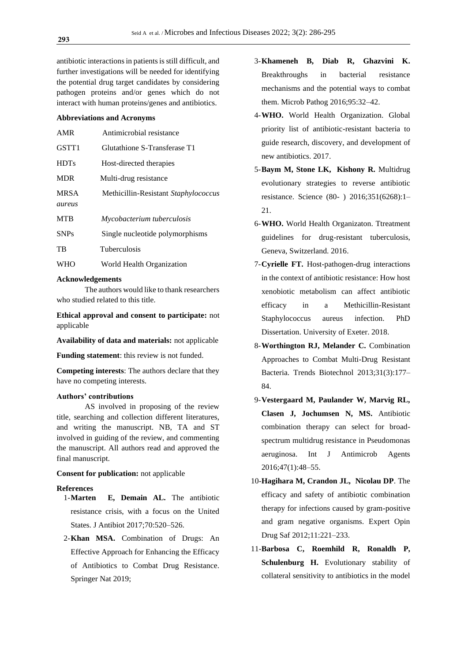antibiotic interactions in patients is still difficult, and further investigations will be needed for identifying the potential drug target candidates by considering pathogen proteins and/or genes which do not interact with human proteins/genes and antibiotics.

#### **Abbreviations and Acronyms**

| <b>AMR</b>  | Antimicrobial resistance             |
|-------------|--------------------------------------|
| GSTT1       | Glutathione S-Transferase T1         |
| <b>HDTs</b> | Host-directed therapies              |
| <b>MDR</b>  | Multi-drug resistance                |
| <b>MRSA</b> | Methicillin-Resistant Staphylococcus |
| aureus      |                                      |
| <b>MTR</b>  | Mycobacterium tuberculosis           |
| <b>SNPs</b> | Single nucleotide polymorphisms      |
| <b>TB</b>   | <b>Tuberculosis</b>                  |
| <b>WHO</b>  | World Health Organization            |

#### **Acknowledgements**

The authors would like to thank researchers who studied related to this title.

**Ethical approval and consent to participate:** not applicable

**Availability of data and materials:** not applicable

**Funding statement**: this review is not funded.

**Competing interests**: The authors declare that they have no competing interests.

# **Authors' contributions**

AS involved in proposing of the review title, searching and collection different literatures, and writing the manuscript. NB, TA and ST involved in guiding of the review, and commenting the manuscript. All authors read and approved the final manuscript.

# **Consent for publication:** not applicable

# **References**

- 1-**Marten E, Demain AL.** The antibiotic resistance crisis, with a focus on the United States. J Antibiot 2017;70:520–526.
- 2-**Khan MSA.** Combination of Drugs: An Effective Approach for Enhancing the Efficacy of Antibiotics to Combat Drug Resistance. Springer Nat 2019;
- 3-**Khameneh B, Diab R, Ghazvini K.** Breakthroughs in bacterial resistance mechanisms and the potential ways to combat them. Microb Pathog 2016;95:32–42.
- 4-**WHO.** World Health Organization. Global priority list of antibiotic-resistant bacteria to guide research, discovery, and development of new antibiotics. 2017.
- 5-**Baym M, Stone LK, Kishony R.** Multidrug evolutionary strategies to reverse antibiotic resistance. Science (80- ) 2016;351(6268):1– 21.
- 6-**WHO.** World Health Organizaton. Ttreatment guidelines for drug-resistant tuberculosis, Geneva, Switzerland. 2016.
- 7-**Cyrielle FT.** Host-pathogen-drug interactions in the context of antibiotic resistance: How host xenobiotic metabolism can affect antibiotic efficacy in a Methicillin-Resistant Staphylococcus aureus infection. PhD Dissertation. University of Exeter. 2018.
- 8-**Worthington RJ, Melander C.** Combination Approaches to Combat Multi-Drug Resistant Bacteria. Trends Biotechnol 2013;31(3):177– 84.
- 9-**Vestergaard M, Paulander W, Marvig RL, Clasen J, Jochumsen N, MS.** Antibiotic combination therapy can select for broadspectrum multidrug resistance in Pseudomonas aeruginosa. Int J Antimicrob Agents 2016;47(1):48–55.
- 10-**Hagihara M, Crandon JL, Nicolau DP**. The efficacy and safety of antibiotic combination therapy for infections caused by gram-positive and gram negative organisms. Expert Opin Drug Saf 2012;11:221–233.
- 11-**Barbosa C, Roemhild R, Ronaldh P, Schulenburg H.** Evolutionary stability of collateral sensitivity to antibiotics in the model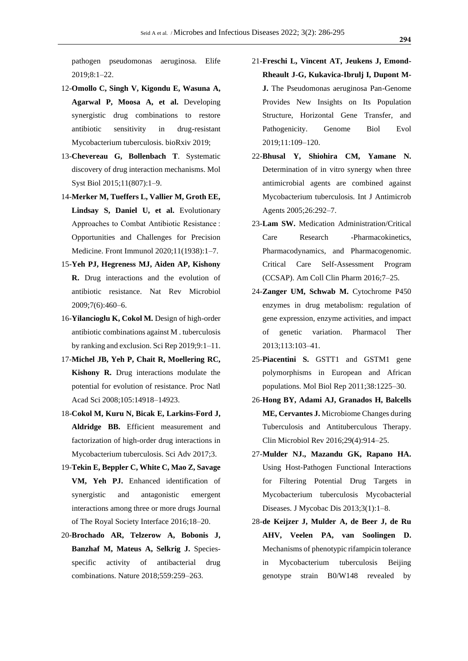pathogen pseudomonas aeruginosa. Elife 2019;8:1–22.

- 12-**Omollo C, Singh V, Kigondu E, Wasuna A, Agarwal P, Moosa A, et al.** Developing synergistic drug combinations to restore antibiotic sensitivity in drug-resistant Mycobacterium tuberculosis. bioRxiv 2019;
- 13-**Chevereau G, Bollenbach T**. Systematic discovery of drug interaction mechanisms. Mol Syst Biol 2015;11(807):1–9.
- 14-**Merker M, Tueffers L, Vallier M, Groth EE, Lindsay S, Daniel U, et al.** Evolutionary Approaches to Combat Antibiotic Resistance : Opportunities and Challenges for Precision Medicine. Front Immunol 2020;11(1938):1–7.
- 15-**Yeh PJ, Hegreness MJ, Aiden AP, Kishony R.** Drug interactions and the evolution of antibiotic resistance. Nat Rev Microbiol 2009;7(6):460–6.
- 16-**Yilancioglu K, Cokol M.** Design of high-order antibiotic combinations against M . tuberculosis by ranking and exclusion. Sci Rep 2019;9:1–11.
- 17-**Michel JB, Yeh P, Chait R, Moellering RC, Kishony R.** Drug interactions modulate the potential for evolution of resistance. Proc Natl Acad Sci 2008;105:14918–14923.
- 18-**Cokol M, Kuru N, Bicak E, Larkins-Ford J, Aldridge BB.** Efficient measurement and factorization of high-order drug interactions in Mycobacterium tuberculosis. Sci Adv 2017;3.
- 19-**Tekin E, Beppler C, White C, Mao Z, Savage VM, Yeh PJ.** Enhanced identification of synergistic and antagonistic emergent interactions among three or more drugs Journal of The Royal Society Interface 2016;18–20.
- 20-**Brochado AR, Telzerow A, Bobonis J, Banzhaf M, Mateus A, Selkrig J.** Speciesspecific activity of antibacterial drug combinations. Nature 2018;559:259–263.
- 21-**Freschi L, Vincent AT, Jeukens J, Emond-Rheault J-G, Kukavica-Ibrulj I, Dupont M-J.** The Pseudomonas aeruginosa Pan-Genome Provides New Insights on Its Population Structure, Horizontal Gene Transfer, and Pathogenicity. Genome Biol Evol 2019;11:109–120.
- 22-**Bhusal Y, Shiohira CM, Yamane N.** Determination of in vitro synergy when three antimicrobial agents are combined against Mycobacterium tuberculosis. Int J Antimicrob Agents 2005;26:292–7.
- 23-**Lam SW.** Medication Administration/Critical Care Research -Pharmacokinetics, Pharmacodynamics, and Pharmacogenomic. Critical Care Self-Assessment Program (CCSAP). Am Coll Clin Pharm 2016;7–25.
- 24-**Zanger UM, Schwab M.** Cytochrome P450 enzymes in drug metabolism: regulation of gene expression, enzyme activities, and impact of genetic variation. Pharmacol Ther 2013;113:103–41.
- 25-**Piacentini S.** GSTT1 and GSTM1 gene polymorphisms in European and African populations. Mol Biol Rep 2011;38:1225–30.
- 26-**Hong BY, Adami AJ, Granados H, Balcells ME, Cervantes J.** Microbiome Changes during Tuberculosis and Antituberculous Therapy. Clin Microbiol Rev 2016;29(4):914–25.
- 27-**Mulder NJ., Mazandu GK, Rapano HA.** Using Host-Pathogen Functional Interactions for Filtering Potential Drug Targets in Mycobacterium tuberculosis Mycobacterial Diseases. J Mycobac Dis 2013;3(1):1–8.
- 28-**de Keijzer J, Mulder A, de Beer J, de Ru AHV, Veelen PA, van Soolingen D.**  Mechanisms of phenotypic rifampicin tolerance in Mycobacterium tuberculosis Beijing genotype strain B0/W148 revealed by